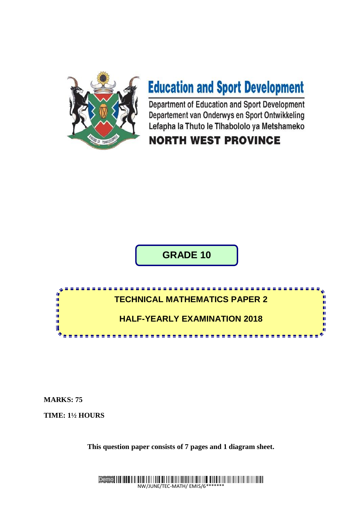

# **Education and Sport Development**

Department of Education and Sport Development Departement van Onderwys en Sport Ontwikkeling Lefapha la Thuto le Tlhabololo ya Metshameko

# **NORTH WEST PROVINCE**

**GRADE 10**



**MARKS: 75**

**TIME: 1½ HOURS**

**This question paper consists of 7 pages and 1 diagram sheet.**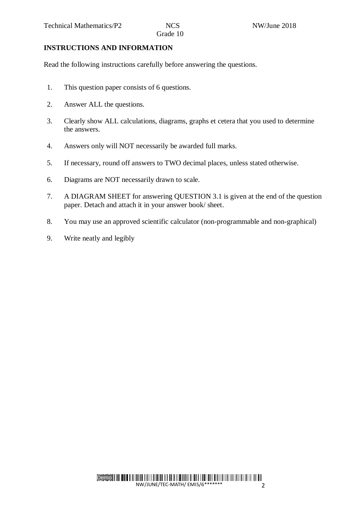# **INSTRUCTIONS AND INFORMATION**

Read the following instructions carefully before answering the questions.

- 1. This question paper consists of 6 questions.
- 2. Answer ALL the questions.
- 3. Clearly show ALL calculations, diagrams, graphs et cetera that you used to determine the answers.
- 4. Answers only will NOT necessarily be awarded full marks.
- 5. If necessary, round off answers to TWO decimal places, unless stated otherwise.
- 6. Diagrams are NOT necessarily drawn to scale.
- 7. A DIAGRAM SHEET for answering QUESTION 3.1 is given at the end of the question paper. Detach and attach it in your answer book/ sheet.
- 8. You may use an approved scientific calculator (non-programmable and non-graphical)
- 9. Write neatly and legibly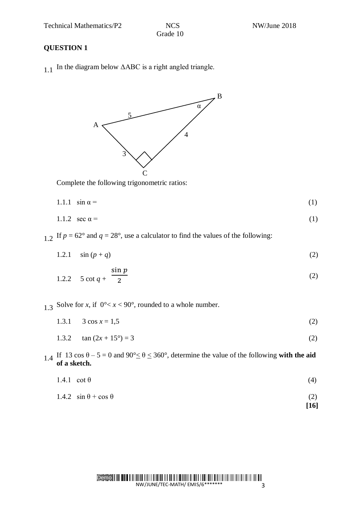Technical Mathematics/P2 NCS NOS NW/June 2018

Grade 10

## **QUESTION 1**

1.1 In the diagram below  $\triangle ABC$  is a right angled triangle.



Complete the following trigonometric ratios:

$$
1.1.1 \quad \sin \alpha = \tag{1}
$$

$$
1.1.2 \quad \sec \alpha = \tag{1}
$$

1.2 If  $p = 62^\circ$  and  $q = 28^\circ$ , use a calculator to find the values of the following:

1.2.1  $\sin (p + q)$  (2)

$$
1.2.2 \quad 5 \cot q + \frac{\sin p}{2} \tag{2}
$$

1.3 Solve for *x*, if  $0^{\circ} < x < 90^{\circ}$ , rounded to a whole number.

- 1.3.1  $3 \cos x = 1.5$  (2)
- 1.3.2  $\tan (2x + 15^\circ) = 3$  (2)
- 1.4 If 13 cos  $\theta$  5 = 0 and 90°  $\leq \theta \leq$  360°, determine the value of the following **with the aid of a sketch.**
	- 1.4.1 cot  $\theta$  (4)
	- 1.4.2  $\sin \theta + \cos \theta$  (2)
		- **[16]**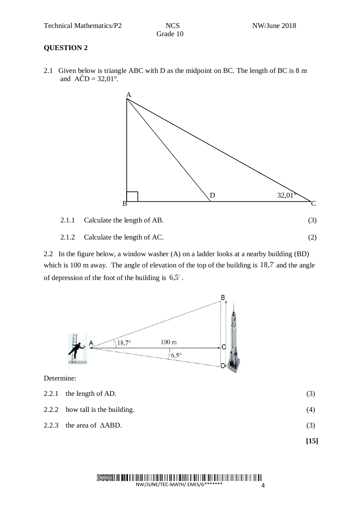Grade 10

#### **QUESTION 2**

2.1 Given below is triangle ABC with D as the midpoint on BC. The length of BC is 8 m and  $\angle ACD = 32,01^\circ$ .



2.2 In the figure below, a window washer (A) on a ladder looks at a nearby building (BD) which is 100 m away. The angle of elevation of the top of the building is  $18,7^\circ$  and the angle of depression of the foot of the building is  $6.5^\circ$ .



Determine:

- 2.2.1 the length of AD. (3)
- 2.2.2 how tall is the building.  $(4)$
- 2.2.3 the area of  $\triangle ABD$ . (3)

**[15]**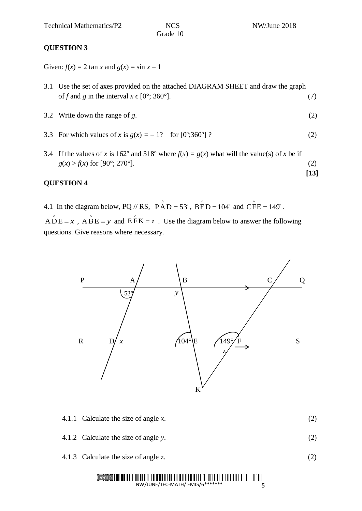Grade 10

**[13]**

## **QUESTION 3**

Given:  $f(x) = 2 \tan x$  and  $g(x) = \sin x - 1$ 

- 3.1 Use the set of axes provided on the attached DIAGRAM SHEET and draw the graph of *f* and *g* in the interval  $x \in [0^\circ; 360^\circ]$ . (7)
- 3.2 Write down the range of *g*. (2)
- 3.3 For which values of *x* is  $g(x) = -1$ ? for  $[0^{\circ};360^{\circ}]$  ? (2)
- 3.4 If the values of *x* is 162° and 318° where  $f(x) = g(x)$  what will the value(s) of *x* be if  $g(x) > f(x)$  for [90°; 270°]. (2)

#### **QUESTION 4**

4.1 In the diagram below, PQ // RS,  $\hat{PAD} = 53^\circ$ ,  $\hat{BED} = 104^\circ$  and  $\hat{CFE} = 149^\circ$ .

 $\angle ADE = x$ ,  $\angle ABE = y$  and  $\angle EFK = z$ . Use the diagram below to answer the following questions. Give reasons where necessary.



- 4.1.1 Calculate the size of angle *x*. (2)
- 4.1.2 Calculate the size of angle *y*. (2)
- 4.1.3 Calculate the size of angle *z*. (2)

#### Demo NW/JUNE/TEC-MATH/ EMIS/6\*\*\*\*\*\*\*

5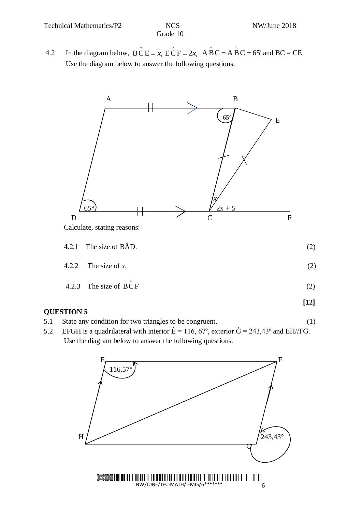4.2 In the diagram below, 
$$
\angle B \angle E = x
$$
,  $\angle E \angle F = 2x$ ,  $\angle A \angle B \angle C = A \angle B \angle C = 65^\circ$  and  $BC = CE$ .

Use the diagram below to answer the following questions.



## **QUESTION 5**

- 5.1 State any condition for two triangles to be congruent. (1)
- 5.2 EFGH is a quadrilateral with interior  $\hat{E} = 116, 67^{\circ}$ , exterior  $\hat{G} = 243,43^{\circ}$  and EH//FG. Use the diagram below to answer the following questions.

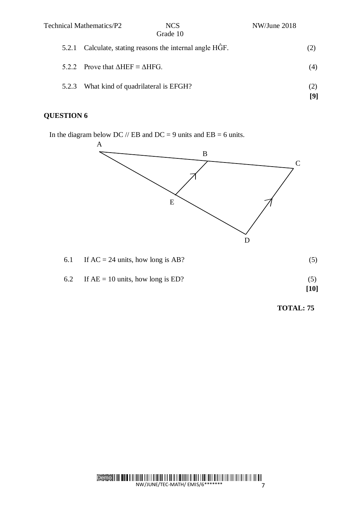|       | Technical Mathematics/P2                                | <b>NCS</b><br>Grade 10                                   | NW/June 2018 |            |
|-------|---------------------------------------------------------|----------------------------------------------------------|--------------|------------|
|       |                                                         | 5.2.1 Calculate, stating reasons the internal angle HGF. |              |            |
|       | 5.2.2 Prove that $\triangle HEF \equiv \triangle HFG$ . |                                                          |              | (4)        |
| 5.2.3 | What kind of quadrilateral is EFGH?                     |                                                          |              | (2)<br>[9] |

# **QUESTION 6**

In the diagram below DC  $//$  EB and DC = 9 units and EB = 6 units.



 **TOTAL: 75**